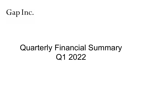

## Quarterly Financial Summary Q1 2022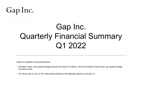# Gap Inc.

# Gap Inc. Quarterly Financial Summary Q1 2022

Notes to Quarterly Financial Summary:

- All dollar, share, and square footage amounts are shown in millions, with the exception of per share, per square footage, and store count.
- Our fiscal year is a 52- or 53- week period ending on the Saturday closest to January 31.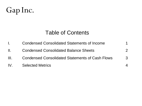# Gap Inc.

## Table of Contents

| $\mathbf{L}$    | <b>Condensed Consolidated Statements of Income</b>     |               |
|-----------------|--------------------------------------------------------|---------------|
| $\prod_{i=1}^n$ | <b>Condensed Consolidated Balance Sheets</b>           | $\mathcal{P}$ |
| HL.             | <b>Condensed Consolidated Statements of Cash Flows</b> | 3             |
| $IV_{-}$        | <b>Selected Metrics</b>                                | Δ.            |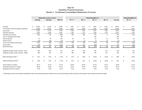### Gap Inc. Quarterly Financial Summary Section I: Condensed Consolidated Statements of Income

|                                             |                         |        |    | Fiscal Year (number of weeks) |    |          |                           |       | <b>Fiscal Year 2022 (52)</b> |        |              |        |                  |              |        |         |  |
|---------------------------------------------|-------------------------|--------|----|-------------------------------|----|----------|---------------------------|-------|------------------------------|--------|--------------|--------|------------------|--------------|--------|---------|--|
|                                             | 2018 (52)<br>2019 (52)  |        |    | 2020(52)                      |    |          | Q1(13)                    |       | Q2(13)                       | Q3(13) |              | Q4(13) | <b>Full Year</b> |              | Q1(13) |         |  |
|                                             |                         |        |    |                               |    |          |                           |       |                              |        |              |        |                  |              |        |         |  |
| Net sales                                   | \$                      | 16,580 | \$ | 16,383                        | \$ | 13,800   | $\$\$                     | 3,991 | -\$                          | 4,211  | \$<br>3,943  | \$     | 4,525            | \$<br>16,670 | \$     | 3,477   |  |
| Cost of goods sold and occupancy expenses   |                         | 10,258 |    | 10,250                        |    | 9,095    |                           | 2,361 |                              | 2,388  | 2,282        |        | 3,002            | 10,033       |        | 2,381   |  |
| Gross profit                                |                         | 6,322  |    | 6,133                         |    | 4,705    |                           | 1,630 |                              | 1,823  | 1,661        |        | 1,523            | 6,637        |        | 1,096   |  |
| Operating expenses                          |                         | 4,960  |    | 5,559                         |    | 5,567    |                           | 1,390 |                              | 1,414  | 1,508        |        | 1,515            | 5,827        |        | 1,293   |  |
| Operating income (loss)                     |                         | 1,362  |    | 574                           |    | (862)    |                           | 240   |                              | 409    | 153          |        | 8                | 810          |        | (197)   |  |
| Loss on extinguishment of debt              |                         |        |    |                               |    | 58       |                           |       |                              |        | 325          |        |                  | 325          |        | $\sim$  |  |
| Interest expense                            |                         | 73     |    | 76                            |    | 192      |                           | 54    |                              | 51     | 44           |        | 18               | 167          |        | 20      |  |
| Interest income                             |                         | (33)   |    | (30)                          |    | (10)     |                           | (1)   |                              | (1)    | (1)          |        | (2)              | (5)          |        | (1)     |  |
| Income (loss) before income taxes           |                         | 1,322  |    | 528                           |    | (1, 102) |                           | 187   |                              | 359    | (215)        |        | (8)              | 323          | (216)  |         |  |
| Income taxes                                |                         | 319    |    | 177                           |    | (437)    |                           | 21    |                              | 101    | (63)         |        |                  | 67           |        | (54)    |  |
| Net Income (loss)                           |                         | 1,003  | \$ | 351                           |    | (665)    | -\$                       | 166   |                              | 258    | (152)        | -\$    | (16)             | \$<br>256    | \$     | (162)   |  |
| Weighted-average number of shares - basic   |                         | 385    |    | 376                           |    | 374      |                           | 376   |                              | 378    | 376          |        | 373              | 376          |        | 370     |  |
| Weighted-average number of shares - diluted |                         | 388    |    | 378                           |    | 374      |                           | 385   |                              | 386    | 376          |        | 373              | 383          |        | 370     |  |
| Basic earnings per share (1)                | $\sqrt[6]{\frac{1}{2}}$ | 2.61   | \$ | 0.93                          | \$ | (1.78)   | $\boldsymbol{\mathsf{S}}$ | 0.44  | -\$                          | 0.68   | \$<br>(0.40) | \$     | (0.04)           | \$<br>0.68   | \$     | (0.44)  |  |
| Diluted earnings per share (1)              | \$                      | 2.59   | \$ | 0.93                          | \$ | (1.78)   | \$                        | 0.43  | \$                           | 0.67   | \$<br>(0.40) | \$     | (0.04)           | \$<br>0.67   | \$     | (0.44)  |  |
| Gross margin (% of sales)                   |                         | 38.1%  |    | 37.4%                         |    | 34.1%    |                           | 40.8% |                              | 43.3%  | 42.1%        |        | 33.7%            | 39.8%        |        | 31.5%   |  |
| Operating expenses (% of sales)             |                         | 29.9%  |    | 33.9%                         |    | 40.3%    |                           | 34.8% |                              | 33.6%  | 38.2%        |        | 33.5%            | 35.0%        |        | 37.2%   |  |
| Operating income (% of sales)               |                         | 8.2%   |    | 3.5%                          |    | $-6.2%$  |                           | 6.0%  |                              | 9.7%   | 3.9%         |        | 0.2%             | 4.9%         |        | $-5.7%$ |  |

(1) Earnings per share are computed individually for each of the periods presented; therefore, the sum of the earnings per share amounts for the quarters may not equal the total for the years.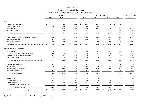| Gap Inc.                                          |
|---------------------------------------------------|
| <b>Quarterly Financial Summary</b>                |
| Section II: Condensed Consolidated Balance Sheets |

|                                                         |    |                          |      | Year End Balance         |    |        |     |                | Fiscal Year 2022       |     |        |    |                |    |                          |
|---------------------------------------------------------|----|--------------------------|------|--------------------------|----|--------|-----|----------------|------------------------|-----|--------|----|----------------|----|--------------------------|
|                                                         |    | 2018                     | 2019 |                          |    | 2020   |     | Q <sub>1</sub> | Fiscal Year 2021<br>Q2 |     | Q3     |    | Q <sub>4</sub> |    | Q <sub>1</sub>           |
| Assets                                                  |    |                          |      |                          |    |        |     |                |                        |     |        |    |                |    |                          |
| Cash and cash equivalents                               | \$ | 1,081                    | \$   | 1,364                    | \$ | 1,988  | \$  | 2,066          | \$<br>2,375            | \$  | 801    | \$ | 877            | \$ | 845                      |
| Short-term investments                                  |    | 288                      |      | 290                      |    | 410    |     | 475            | 337                    |     | 275    |    |                |    |                          |
| Merchandise inventory                                   |    | 2,131                    |      | 2,156                    |    | 2,451  |     | 2,370          | 2,281                  |     | 2,721  |    | 3,018          |    | 3,169                    |
| Other current assets                                    |    | 751                      |      | 706                      |    | 1,159  |     | 1,091          | 1,201                  |     | 1,410  |    | 1,270          |    | 991                      |
|                                                         |    | 4,251                    |      | 4,516                    |    | 6,008  |     | 6,002          | 6,194                  |     | 5,207  |    | 5,165          |    | 5,005                    |
| Property and equipment, net of accumulated depreciation |    | 2,912                    |      | 3,122                    |    | 2,841  |     | 2,839          | 2,897                  |     | 2,924  |    | 3,037          |    | 2,791                    |
| Operating lease assets                                  |    |                          |      | 5,402                    |    | 4,217  |     | 4,060          | 3,975                  |     | 3,788  |    | 3,675          |    | 3,587                    |
| Other long-term assets                                  |    | 886                      |      | 639                      |    | 703    |     | 703            | 693                    |     | 861    |    | 884            |    | 874                      |
|                                                         | .S | 8,049                    |      | 13,679                   |    | 13,769 | -SS | 13,604         | 13,759                 | \$. | 12,780 | S  | 12,761         |    | 12,257                   |
| Liabilities and stockholders' equity                    |    |                          |      |                          |    |        |     |                |                        |     |        |    |                |    |                          |
| Accounts payable                                        |    | 1,126                    |      | 1,174                    |    | 1,743  |     | 1,530          | 1,583                  |     | 1,630  |    | 1,951          |    | 1,599                    |
| Accrued expenses and other current liabilities          |    | 1,024                    |      | 1,067                    |    | 1,276  |     | 1,294          | 1,252                  |     | 1,414  |    | 1,367          |    | 1,127                    |
| Current portion of operating lease liabilities          |    |                          |      | 920                      |    | 831    |     | 798            | 789                    |     | 746    |    | 734            |    | 717                      |
| Income taxes payable                                    |    | 24                       |      | 48                       |    | 34     |     | 16             | 27                     |     | 33     |    | 25             |    | 29                       |
|                                                         |    | 2,174                    |      | 3,209                    |    | 3,884  |     | 3,638          | 3,651                  |     | 3,823  |    | 4,077          |    | 3,472                    |
| Revolving credit agreement                              |    |                          |      |                          |    |        |     |                |                        |     |        |    |                |    | 350                      |
| Long-term debt                                          |    | 1,249                    |      | 1,249                    |    | 2,216  |     | 2,218          | 2,220                  |     | 1,484  |    | 1,484          |    | 1,485                    |
| Long-term operating lease liabilities                   |    |                          |      | 5,508                    |    | 4,617  |     | 4,449          | 4,348                  |     | 4,163  |    | 4,033          |    | 3,921                    |
| Other long-term liabilities <sup>(1)</sup>              |    | 1,073                    |      | 397                      |    | 438    |     | 493            | 520                    |     | 523    |    | 445            |    | 575                      |
|                                                         |    | 2,322                    |      | 7,154                    |    | 7,271  |     | 7,160          | 7,088                  |     | 6,170  |    | 5,962          |    | 6,331                    |
| Common stock                                            |    | 19                       |      | 19                       |    | 19     |     | 19             | 19                     |     | 19     |    | 19             |    | 19                       |
| Additional paid-in capital                              |    | $\overline{\phantom{a}}$ |      | $\overline{\phantom{a}}$ |    | 85     |     | 118            | 114                    |     | 71     |    | 43             |    | $\overline{\phantom{a}}$ |
| Retained earnings                                       |    | 3,481                    |      | 3,257                    |    | 2,501  |     | 2,667          | 2,879                  |     | 2,681  |    | 2,622          |    | 2,389                    |
| Accumulated other comprehensive income                  |    | 53                       |      | 40                       |    | 9      |     | $\overline{2}$ | 8                      |     | 16     |    | 38             |    | 46                       |
|                                                         |    | 3,553                    |      | 3,316                    |    | 2,614  |     | 2,806          | 3,020                  |     | 2,787  |    | 2,722          |    | 2,454                    |
|                                                         |    | 8,049                    |      | 13,679                   |    | 13,769 |     | 13,604         | 13,759                 | SБ  | 12,780 |    | 12,761         |    | 12,257                   |

(1) Prior to the adoption of ASC 842 Lease Accounting, fiscal year 2018 include long-term deferred rent and tenant allowances.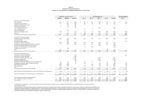(2) Free cash flow is a non-GAAP financial measure. We believe free cash flow is an important metric because it represents a measure of how much cash a company has available for discretionary and nondiscretionary items after the deduction of capital expenditures. We require regular capital expenditures including technology improvements to automate processes, engage with customers, and optimize our supply chain in addition to building and maintaining stores. We use this metric internally, as we believe our sustained ability to generate free cash flow is an important driver of value creation. However, this non-GAAP financial measure is not intended to supersede or replace our GAAP results.

## Gap Inc. Quarterly Financial Summary Section III: Condensed Consolidated Statements of Cash Flows

|                                                                                             | Fiscal Year (number of weeks) |           |      |           |     |          |    | <b>Fiscal Year 2021 (52)</b> |      |        |      |          |      |                          |            |                  |     | <b>Fiscal Year 2022 (52)</b> |  |  |
|---------------------------------------------------------------------------------------------|-------------------------------|-----------|------|-----------|-----|----------|----|------------------------------|------|--------|------|----------|------|--------------------------|------------|------------------|-----|------------------------------|--|--|
|                                                                                             |                               | 2018 (52) |      | 2019 (52) |     | 2020(52) |    | Q1(13)                       |      | Q2(13) |      | Q3(13)   |      | Q4(13)                   |            | <b>Full Year</b> |     | Q1(13)                       |  |  |
| Cash flows from operating activities:                                                       |                               |           |      |           |     |          |    |                              |      |        |      |          |      |                          |            |                  |     |                              |  |  |
| Net income (loss)                                                                           |                               | 1,003     | \$   | 351       | -\$ | (665)    | \$ | 166                          | - \$ | 258    | - \$ | (152)    | - \$ | (16)                     | -\$        | 256              | -\$ | (162)                        |  |  |
| Depreciation and amortization <sup>(1)</sup>                                                |                               | 517       |      | 557       |     | 507      |    | 120                          |      | 124    |      | 128      |      | 132                      |            | 504              |     | 130                          |  |  |
| Impairment of operating lease assets                                                        |                               |           |      | 239       |     | 391      |    | 5                            |      |        |      |          |      | $\overline{2}$           |            |                  |     |                              |  |  |
| Impairment of store assets                                                                  |                               | 14        |      | 98        |     | 135      |    |                              |      |        |      |          |      |                          |            |                  |     |                              |  |  |
| Loss on extinguishment of debt                                                              |                               |           |      |           |     | 58       |    |                              |      |        |      | 325      |      |                          |            | 325              |     |                              |  |  |
| Loss on divestiture activity                                                                |                               |           |      |           |     |          |    | 56                           |      |        |      |          |      |                          |            | 59               |     |                              |  |  |
| Gain on sale of building                                                                    |                               |           |      | (191)     |     |          |    |                              |      |        |      |          |      |                          |            |                  |     |                              |  |  |
| Change in merchandise inventory                                                             |                               | (154)     |      |           |     | (305)    |    | 69                           |      | 87     |      | (444)    |      | (305)                    |            | (593)            |     | (166)                        |  |  |
| Other, net                                                                                  |                               |           |      | 353       |     | 116      |    | (76)                         |      | (22)   |      | 33       |      | 314                      |            | 249              |     | (164)                        |  |  |
|                                                                                             |                               | 1,381     |      | 1,411     |     | 237      |    | 340                          |      | 452    |      | (110)    |      | 127                      |            | 809              |     | (362)                        |  |  |
| Cash flows from investing activities:                                                       |                               |           |      |           |     |          |    |                              |      |        |      |          |      |                          |            |                  |     |                              |  |  |
| Purchases of property and equipment                                                         |                               | (705)     |      | (702)     |     | (392)    |    | (124)                        |      | (145)  |      | (217)    |      | (208)                    |            | (694)            |     | (228)                        |  |  |
| Purchase of building                                                                        |                               |           |      | (343)     |     |          |    |                              |      |        |      |          |      |                          |            |                  |     |                              |  |  |
| Proceeds from sale of building                                                              |                               |           |      | 220       |     |          |    |                              |      |        |      |          |      |                          |            |                  |     | 333                          |  |  |
| Purchases of short-term investments                                                         |                               | (464)     |      | (293)     |     | (508)    |    | (298)                        |      | (129)  |      | (207)    |      | (119)                    |            | (753)            |     |                              |  |  |
| Proceeds from sales and maturities of short-term investments                                |                               | 177       |      | 293       |     | 388      |    | 233                          |      | 267    |      | 268      |      | 394                      |            | 1,162            |     |                              |  |  |
| Payments for acquisition activity, net of cash acquired                                     |                               |           |      |           |     |          |    |                              |      |        |      | (135)    |      |                          |            | (135)            |     |                              |  |  |
| Proceeds from (net cash paid for) divestiture activity                                      |                               |           |      |           |     |          |    | 28                           |      | (49)   |      |          |      |                          |            | (21)             |     |                              |  |  |
| Purchase of Janie and Jack                                                                  |                               |           |      | (69)      |     |          |    |                              |      |        |      |          |      |                          |            |                  |     |                              |  |  |
| Other                                                                                       |                               | (9)       |      |           |     | 2        |    |                              |      |        |      |          |      | (5)                      |            | (5)              |     |                              |  |  |
|                                                                                             |                               | (1,001)   |      | (894)     |     | (510)    |    | (161)                        |      | (56)   |      | (291)    |      | 62                       |            | (446)            |     | 105                          |  |  |
| Cash flows from financing activities:                                                       |                               |           |      |           |     |          |    |                              |      |        |      |          |      |                          |            |                  |     |                              |  |  |
| Proceeds from revolving credit facility                                                     |                               |           |      |           |     | 500      |    |                              |      |        |      |          |      |                          |            |                  |     | 350                          |  |  |
| Payments for revolving credit facility                                                      |                               |           |      |           |     | (500)    |    |                              |      |        |      |          |      |                          |            |                  |     |                              |  |  |
| Proceeds from issuance of long-term debt                                                    |                               |           |      |           |     | 2,250    |    |                              |      |        |      | 1,500    |      |                          |            | 1,500            |     |                              |  |  |
| Payments to extinguish debt                                                                 |                               |           |      |           |     | (1, 307) |    |                              |      |        |      | (2, 546) |      | $\overline{\phantom{a}}$ |            | (2, 546)         |     |                              |  |  |
| Payments for debt issuance costs                                                            |                               |           |      |           |     | (61)     |    |                              |      |        |      | (16)     |      |                          |            | (16)             |     |                              |  |  |
| Proceeds from issuances under share-based compensation plans                                |                               | 46        |      | 25        |     | 22       |    | 25                           |      | 16     |      |          |      | 6                        |            | 54               |     |                              |  |  |
| Withholding tax payments related to vesting of stock units                                  |                               | (23)      |      | (21)      |     | (9)      |    | (32)                         |      |        |      | (2)      |      | (2)                      |            | (36)             |     | (14)                         |  |  |
| Repurchases of common stock                                                                 |                               | (398)     |      | (200)     |     |          |    |                              |      | (55)   |      | (73)     |      | (73)                     |            | (201)            |     | (54)                         |  |  |
| Cash dividends paid                                                                         |                               | (373)     |      | (364)     |     |          |    | (91)                         |      | (46)   |      | (45)     |      | (44)                     |            | (226)            |     | (56)                         |  |  |
| Other                                                                                       |                               | (1)       |      |           |     |          |    |                              |      |        |      |          |      |                          |            |                  |     |                              |  |  |
|                                                                                             |                               | (749)     |      | (560)     |     | 895      |    | (98)                         |      | (85)   |      | (1, 175) |      | (113)                    |            | (1,471)          |     | 233                          |  |  |
| Effect of foreign exchange rate fluctuations on cash, cash equivalents, and restricted cash |                               | (10)      |      |           |     | 13       |    | (1)                          |      |        |      | (2)      |      | (3)                      |            | (6)              |     | (7)                          |  |  |
| Net increase (decrease) in cash, cash equivalents, and restricted cash                      | \$                            | (379)     | - \$ | (39)      | -\$ | 635      |    | 80                           | - \$ | 311    | \$   | (1,578)  | - \$ | 73                       | \$         | (1, 114)         |     | (31)                         |  |  |
| Net cash provided by (used for) operating activities                                        |                               | 1,381     | -8   | 1,411     | -\$ | 237      | \$ | 340                          | - \$ | 452    | - \$ | (110)    | - \$ | 127                      | - \$       | 809              |     | (362)                        |  |  |
| Less: purchases of property and equipment                                                   |                               | (705)     |      | (702)     |     | (392)    |    | (124)                        |      | (145)  |      | (217)    |      | (208)                    |            | (694)            |     | (228)                        |  |  |
| Free cash flow $(2)$                                                                        |                               | 676       | \$   | 709       | \$  | (155)    |    | 216                          |      | 307    | \$   | (327)    |      | (81)                     | $\sqrt{3}$ | 115              |     | (590)                        |  |  |
|                                                                                             |                               |           |      |           |     |          |    |                              |      |        |      |          |      |                          |            |                  |     |                              |  |  |

lease accounting standard. (1) Depreciation and amortization is net of the amortization of lease incentives. Beginning in fiscal year 2019, amortization of lease incentives is no longer reflected due to the adoption of the new